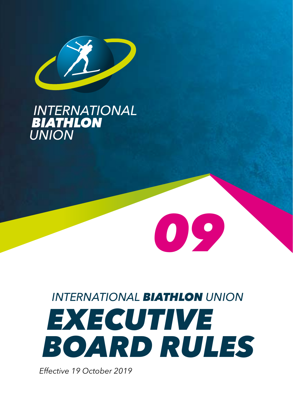

# **INTERNATIONAL<br>BIATHLON<br>UNION**

# *INTERNATIONAL BIATHLON UNION EXECUTIVE BOARD RULES*

*09*

*Effective 19 October 2019*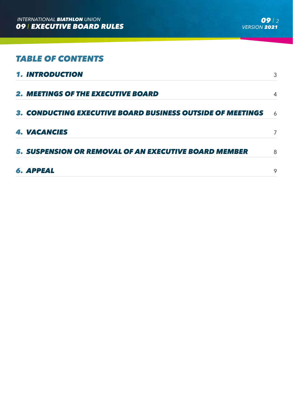# *TABLE OF CONTENTS*

| <b>1. INTRODUCTION</b>                                       | 3 |
|--------------------------------------------------------------|---|
| <b>2. MEETINGS OF THE EXECUTIVE BOARD</b>                    | 4 |
| 3. CONDUCTING EXECUTIVE BOARD BUSINESS OUTSIDE OF MEETINGS   | 6 |
| <b>4. VACANCIES</b>                                          | 7 |
| <b>5. SUSPENSION OR REMOVAL OF AN EXECUTIVE BOARD MEMBER</b> | 8 |
| <b>6. APPEAL</b>                                             | 9 |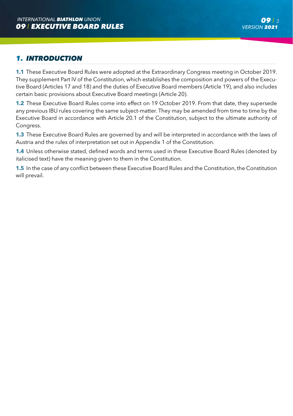#### *09 I 3 VERSION 2021*

# *1. INTRODUCTION*

**1.1** These Executive Board Rules were adopted at the Extraordinary Congress meeting in October 2019. They supplement Part IV of the Constitution, which establishes the composition and powers of the Executive Board (Articles 17 and 18) and the duties of Executive Board members (Article 19), and also includes certain basic provisions about Executive Board meetings (Article 20).

**1.2** These Executive Board Rules come into effect on 19 October 2019. From that date, they supersede any previous IBU rules covering the same subject-matter. They may be amended from time to time by the Executive Board in accordance with Article 20.1 of the Constitution, subject to the ultimate authority of Congress.

**1.3** These Executive Board Rules are governed by and will be interpreted in accordance with the laws of Austria and the rules of interpretation set out in Appendix 1 of the Constitution.

**1.4** Unless otherwise stated, defined words and terms used in these Executive Board Rules (denoted by italicised text) have the meaning given to them in the Constitution.

**1.5** In the case of any conflict between these Executive Board Rules and the Constitution, the Constitution will prevail.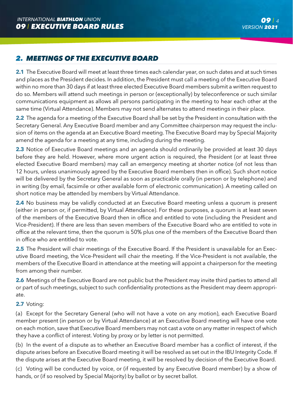# *2. MEETINGS OF THE EXECUTIVE BOARD*

**2.1** The Executive Board will meet at least three times each calendar year, on such dates and at such times and places as the President decides. In addition, the President must call a meeting of the Executive Board within no more than 30 days if at least three elected Executive Board members submit a written request to do so. Members will attend such meetings in person or (exceptionally) by teleconference or such similar communications equipment as allows all persons participating in the meeting to hear each other at the same time (Virtual Attendance). Members may not send alternates to attend meetings in their place.

**2.2** The agenda for a meeting of the Executive Board shall be set by the President in consultation with the Secretary General. Any Executive Board member and any Committee chairperson may request the inclusion of items on the agenda at an Executive Board meeting. The Executive Board may by Special Majority amend the agenda for a meeting at any time, including during the meeting.

**2.3** Notice of Executive Board meetings and an agenda should ordinarily be provided at least 30 days before they are held. However, where more urgent action is required, the President (or at least three elected Executive Board members) may call an emergency meeting at shorter notice (of not less than 12 hours, unless unanimously agreed by the Executive Board members then in office). Such short notice will be delivered by the Secretary General as soon as practicable orally (in person or by telephone) and in writing (by email, facsimile or other available form of electronic communication). A meeting called on short notice may be attended by members by Virtual Attendance.

**2.4** No business may be validly conducted at an Executive Board meeting unless a quorum is present (either in person or, if permitted, by Virtual Attendance). For these purposes, a quorum is at least seven of the members of the Executive Board then in office and entitled to vote (including the President and Vice-President). If there are less than seven members of the Executive Board who are entitled to vote in office at the relevant time, then the quorum is 50% plus one of the members of the Executive Board then in office who are entitled to vote.

**2.5** The President will chair meetings of the Executive Board. If the President is unavailable for an Executive Board meeting, the Vice-President will chair the meeting. If the Vice-President is not available, the members of the Executive Board in attendance at the meeting will appoint a chairperson for the meeting from among their number.

**2.6** Meetings of the Executive Board are not public but the President may invite third parties to attend all or part of such meetings, subject to such confidentiality protections as the President may deem appropriate.

#### **2.7** Voting:

(a) Except for the Secretary General (who will not have a vote on any motion), each Executive Board member present (in person or by Virtual Attendance) at an Executive Board meeting will have one vote on each motion, save that Executive Board members may not cast a vote on any matter in respect of which they have a conflict of interest. Voting by proxy or by letter is not permitted.

(b) In the event of a dispute as to whether an Executive Board member has a conflict of interest, if the dispute arises before an Executive Board meeting it will be resolved as set out in the IBU Integrity Code. If the dispute arises at the Executive Board meeting, it will be resolved by decision of the Executive Board.

(c) Voting will be conducted by voice, or (if requested by any Executive Board member) by a show of hands, or (if so resolved by Special Majority) by ballot or by secret ballot.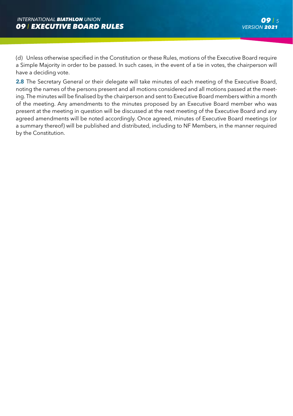(d) Unless otherwise specified in the Constitution or these Rules, motions of the Executive Board require a Simple Majority in order to be passed. In such cases, in the event of a tie in votes, the chairperson will have a deciding vote.

**2.8** The Secretary General or their delegate will take minutes of each meeting of the Executive Board, noting the names of the persons present and all motions considered and all motions passed at the meeting. The minutes will be finalised by the chairperson and sent to Executive Board members within a month of the meeting. Any amendments to the minutes proposed by an Executive Board member who was present at the meeting in question will be discussed at the next meeting of the Executive Board and any agreed amendments will be noted accordingly. Once agreed, minutes of Executive Board meetings (or a summary thereof) will be published and distributed, including to NF Members, in the manner required by the Constitution.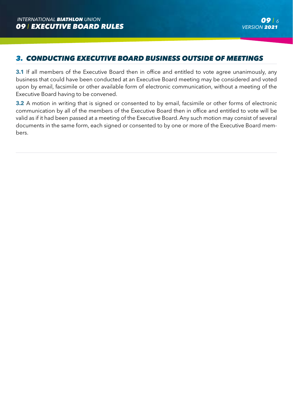# *3. CONDUCTING EXECUTIVE BOARD BUSINESS OUTSIDE OF MEETINGS*

**3.1** If all members of the Executive Board then in office and entitled to vote agree unanimously, any business that could have been conducted at an Executive Board meeting may be considered and voted upon by email, facsimile or other available form of electronic communication, without a meeting of the Executive Board having to be convened.

**3.2** A motion in writing that is signed or consented to by email, facsimile or other forms of electronic communication by all of the members of the Executive Board then in office and entitled to vote will be valid as if it had been passed at a meeting of the Executive Board. Any such motion may consist of several documents in the same form, each signed or consented to by one or more of the Executive Board members.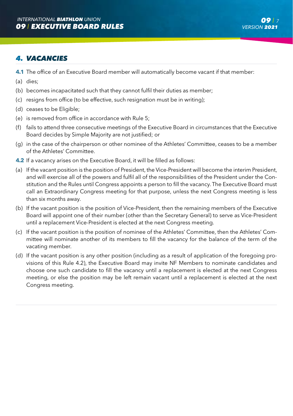### *4. VACANCIES*

- **4.1** The office of an Executive Board member will automatically become vacant if that member:
- (a) dies;
- (b) becomes incapacitated such that they cannot fulfil their duties as member;
- (c) resigns from office (to be effective, such resignation must be in writing);
- (d) ceases to be Eligible;
- (e) is removed from office in accordance with Rule 5;
- (f) fails to attend three consecutive meetings of the Executive Board in circumstances that the Executive Board decides by Simple Majority are not justified; or
- (g) in the case of the chairperson or other nominee of the Athletes' Committee, ceases to be a member of the Athletes' Committee.
- **4.2** If a vacancy arises on the Executive Board, it will be filled as follows:
- (a) If the vacant position is the position of President, the Vice-President will become the interim President, and will exercise all of the powers and fulfil all of the responsibilities of the President under the Constitution and the Rules until Congress appoints a person to fill the vacancy. The Executive Board must call an Extraordinary Congress meeting for that purpose, unless the next Congress meeting is less than six months away.
- (b) If the vacant position is the position of Vice-President, then the remaining members of the Executive Board will appoint one of their number (other than the Secretary General) to serve as Vice-President until a replacement Vice-President is elected at the next Congress meeting.
- (c) If the vacant position is the position of nominee of the Athletes' Committee, then the Athletes' Committee will nominate another of its members to fill the vacancy for the balance of the term of the vacating member.
- (d) If the vacant position is any other position (including as a result of application of the foregoing provisions of this Rule 4.2), the Executive Board may invite NF Members to nominate candidates and choose one such candidate to fill the vacancy until a replacement is elected at the next Congress meeting, or else the position may be left remain vacant until a replacement is elected at the next Congress meeting.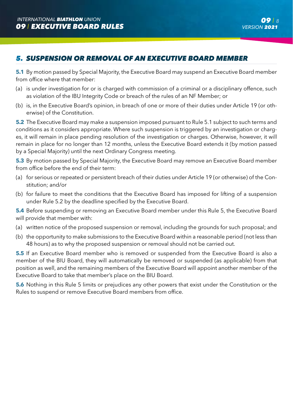# *5. SUSPENSION OR REMOVAL OF AN EXECUTIVE BOARD MEMBER*

**5.1** By motion passed by Special Majority, the Executive Board may suspend an Executive Board member from office where that member:

- (a) is under investigation for or is charged with commission of a criminal or a disciplinary offence, such as violation of the IBU Integrity Code or breach of the rules of an NF Member; or
- (b) is, in the Executive Board's opinion, in breach of one or more of their duties under Article 19 (or otherwise) of the Constitution.

**5.2** The Executive Board may make a suspension imposed pursuant to Rule 5.1 subject to such terms and conditions as it considers appropriate. Where such suspension is triggered by an investigation or charges, it will remain in place pending resolution of the investigation or charges. Otherwise, however, it will remain in place for no longer than 12 months, unless the Executive Board extends it (by motion passed by a Special Majority) until the next Ordinary Congress meeting.

**5.3** By motion passed by Special Majority, the Executive Board may remove an Executive Board member from office before the end of their term:

- (a) for serious or repeated or persistent breach of their duties under Article 19 (or otherwise) of the Constitution; and/or
- (b) for failure to meet the conditions that the Executive Board has imposed for lifting of a suspension under Rule 5.2 by the deadline specified by the Executive Board.

**5.4** Before suspending or removing an Executive Board member under this Rule 5, the Executive Board will provide that member with:

- (a) written notice of the proposed suspension or removal, including the grounds for such proposal; and
- (b) the opportunity to make submissions to the Executive Board within a reasonable period (not less than 48 hours) as to why the proposed suspension or removal should not be carried out.

**5.5** If an Executive Board member who is removed or suspended from the Executive Board is also a member of the BIU Board, they will automatically be removed or suspended (as applicable) from that position as well, and the remaining members of the Executive Board will appoint another member of the Executive Board to take that member's place on the BIU Board.

**5.6** Nothing in this Rule 5 limits or prejudices any other powers that exist under the Constitution or the Rules to suspend or remove Executive Board members from office.